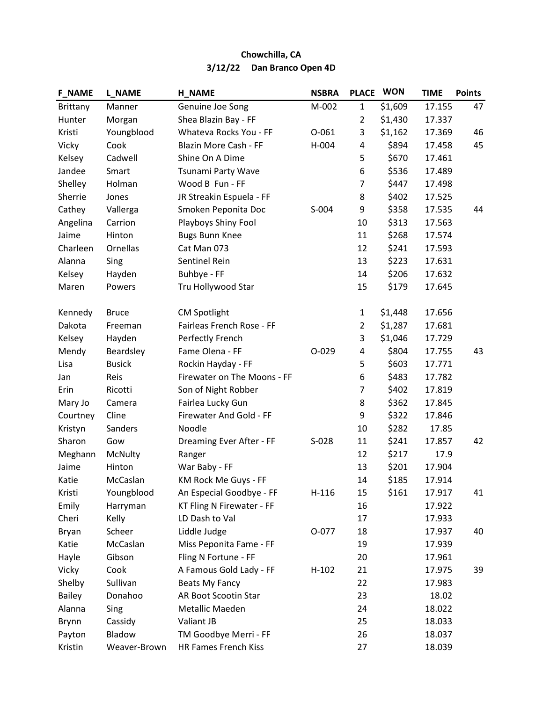| <b>F_NAME</b>   | <b>L_NAME</b> | <b>H_NAME</b>               | <b>NSBRA</b> | <b>PLACE</b>   | <b>WON</b> | <b>TIME</b> | <b>Points</b> |
|-----------------|---------------|-----------------------------|--------------|----------------|------------|-------------|---------------|
| <b>Brittany</b> | Manner        | Genuine Joe Song            | M-002        | $\mathbf{1}$   | \$1,609    | 17.155      | 47            |
| Hunter          | Morgan        | Shea Blazin Bay - FF        |              | $\overline{2}$ | \$1,430    | 17.337      |               |
| Kristi          | Youngblood    | Whateva Rocks You - FF      | $O - 061$    | 3              | \$1,162    | 17.369      | 46            |
| Vicky           | Cook          | Blazin More Cash - FF       | H-004        | 4              | \$894      | 17.458      | 45            |
| Kelsey          | Cadwell       | Shine On A Dime             |              | 5              | \$670      | 17.461      |               |
| Jandee          | Smart         | Tsunami Party Wave          |              | 6              | \$536      | 17.489      |               |
| Shelley         | Holman        | Wood B Fun - FF             |              | $\overline{7}$ | \$447      | 17.498      |               |
| Sherrie         | Jones         | JR Streakin Espuela - FF    |              | 8              | \$402      | 17.525      |               |
| Cathey          | Vallerga      | Smoken Peponita Doc         | S-004        | 9              | \$358      | 17.535      | 44            |
| Angelina        | Carrion       | Playboys Shiny Fool         |              | 10             | \$313      | 17.563      |               |
| Jaime           | Hinton        | <b>Bugs Bunn Knee</b>       |              | 11             | \$268      | 17.574      |               |
| Charleen        | Ornellas      | Cat Man 073                 |              | 12             | \$241      | 17.593      |               |
| Alanna          | Sing          | Sentinel Rein               |              | 13             | \$223      | 17.631      |               |
| Kelsey          | Hayden        | Buhbye - FF                 |              | 14             | \$206      | 17.632      |               |
| Maren           | Powers        | Tru Hollywood Star          |              | 15             | \$179      | 17.645      |               |
| Kennedy         | <b>Bruce</b>  | <b>CM Spotlight</b>         |              | $\mathbf{1}$   | \$1,448    | 17.656      |               |
| Dakota          | Freeman       | Fairleas French Rose - FF   |              | $\overline{2}$ | \$1,287    | 17.681      |               |
| Kelsey          | Hayden        | Perfectly French            |              | 3              | \$1,046    | 17.729      |               |
| Mendy           | Beardsley     | Fame Olena - FF             | $O - 029$    | 4              | \$804      | 17.755      | 43            |
| Lisa            | <b>Busick</b> | Rockin Hayday - FF          |              | 5              | \$603      | 17.771      |               |
| Jan             | Reis          | Firewater on The Moons - FF |              | 6              | \$483      | 17.782      |               |
| Erin            | Ricotti       | Son of Night Robber         |              | $\overline{7}$ | \$402      | 17.819      |               |
| Mary Jo         | Camera        | Fairlea Lucky Gun           |              | 8              | \$362      | 17.845      |               |
| Courtney        | Cline         | Firewater And Gold - FF     |              | 9              | \$322      | 17.846      |               |
| Kristyn         | Sanders       | Noodle                      |              | 10             | \$282      | 17.85       |               |
| Sharon          | Gow           | Dreaming Ever After - FF    | $S-028$      | 11             | \$241      | 17.857      | 42            |
| Meghann         | McNulty       | Ranger                      |              | 12             | \$217      | 17.9        |               |
| Jaime           | Hinton        | War Baby - FF               |              | 13             | \$201      | 17.904      |               |
| Katie           | McCaslan      | KM Rock Me Guys - FF        |              | 14             | \$185      | 17.914      |               |
| Kristi          | Youngblood    | An Especial Goodbye - FF    | $H-116$      | 15             | \$161      | 17.917      | 41            |
| Emily           | Harryman      | KT Fling N Firewater - FF   |              | 16             |            | 17.922      |               |
| Cheri           | Kelly         | LD Dash to Val              |              | 17             |            | 17.933      |               |
| Bryan           | Scheer        | Liddle Judge                | 0-077        | 18             |            | 17.937      | 40            |
| Katie           | McCaslan      | Miss Peponita Fame - FF     |              | 19             |            | 17.939      |               |
| Hayle           | Gibson        | Fling N Fortune - FF        |              | 20             |            | 17.961      |               |
| Vicky           | Cook          | A Famous Gold Lady - FF     | $H-102$      | 21             |            | 17.975      | 39            |
| Shelby          | Sullivan      | Beats My Fancy              |              | 22             |            | 17.983      |               |
| <b>Bailey</b>   | Donahoo       | AR Boot Scootin Star        |              | 23             |            | 18.02       |               |
| Alanna          | Sing          | Metallic Maeden             |              | 24             |            | 18.022      |               |
| Brynn           | Cassidy       | Valiant JB                  |              | 25             |            | 18.033      |               |
| Payton          | Bladow        | TM Goodbye Merri - FF       |              | 26             |            | 18.037      |               |
| Kristin         | Weaver-Brown  | HR Fames French Kiss        |              | 27             |            | 18.039      |               |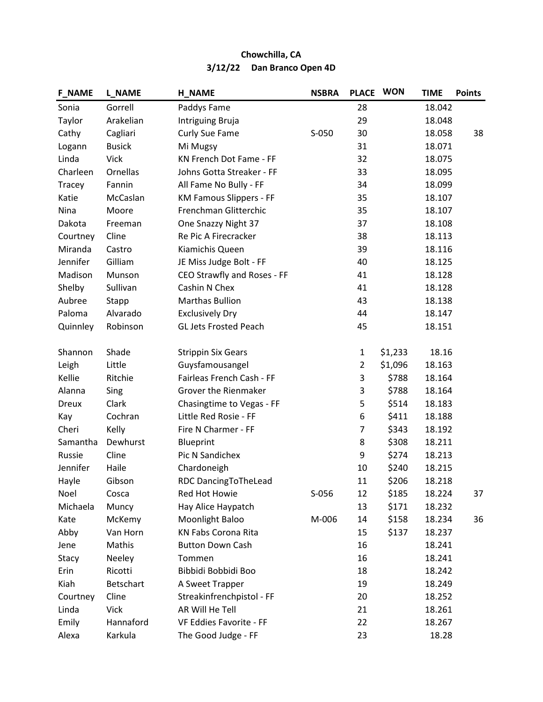| <b>F_NAME</b> | <b>L_NAME</b> | <b>H_NAME</b>                  | <b>NSBRA</b> | <b>PLACE</b>   | <b>WON</b> | <b>TIME</b> | <b>Points</b> |
|---------------|---------------|--------------------------------|--------------|----------------|------------|-------------|---------------|
| Sonia         | Gorrell       | Paddys Fame                    |              | 28             |            | 18.042      |               |
| Taylor        | Arakelian     | Intriguing Bruja               |              | 29             |            | 18.048      |               |
| Cathy         | Cagliari      | Curly Sue Fame                 | S-050        | 30             |            | 18.058      | 38            |
| Logann        | <b>Busick</b> | Mi Mugsy                       |              | 31             |            | 18.071      |               |
| Linda         | <b>Vick</b>   | KN French Dot Fame - FF        |              | 32             |            | 18.075      |               |
| Charleen      | Ornellas      | Johns Gotta Streaker - FF      |              | 33             |            | 18.095      |               |
| Tracey        | Fannin        | All Fame No Bully - FF         |              | 34             |            | 18.099      |               |
| Katie         | McCaslan      | <b>KM Famous Slippers - FF</b> |              | 35             |            | 18.107      |               |
| Nina          | Moore         | Frenchman Glitterchic          |              | 35             |            | 18.107      |               |
| Dakota        | Freeman       | One Snazzy Night 37            |              | 37             |            | 18.108      |               |
| Courtney      | Cline         | Re Pic A Firecracker           |              | 38             |            | 18.113      |               |
| Miranda       | Castro        | Kiamichis Queen                |              | 39             |            | 18.116      |               |
| Jennifer      | Gilliam       | JE Miss Judge Bolt - FF        |              | 40             |            | 18.125      |               |
| Madison       | Munson        | CEO Strawfly and Roses - FF    |              | 41             |            | 18.128      |               |
| Shelby        | Sullivan      | Cashin N Chex                  |              | 41             |            | 18.128      |               |
| Aubree        | Stapp         | <b>Marthas Bullion</b>         |              | 43             |            | 18.138      |               |
| Paloma        | Alvarado      | <b>Exclusively Dry</b>         |              | 44             |            | 18.147      |               |
| Quinnley      | Robinson      | <b>GL Jets Frosted Peach</b>   |              | 45             |            | 18.151      |               |
| Shannon       | Shade         | <b>Strippin Six Gears</b>      |              | $\mathbf 1$    | \$1,233    | 18.16       |               |
| Leigh         | Little        | Guysfamousangel                |              | $\overline{2}$ | \$1,096    | 18.163      |               |
| Kellie        | Ritchie       | Fairleas French Cash - FF      |              | 3              | \$788      | 18.164      |               |
| Alanna        | Sing          | Grover the Rienmaker           |              | 3              | \$788      | 18.164      |               |
| <b>Dreux</b>  | Clark         | Chasingtime to Vegas - FF      |              | 5              | \$514      | 18.183      |               |
| Kay           | Cochran       | Little Red Rosie - FF          |              | 6              | \$411      | 18.188      |               |
| Cheri         | Kelly         | Fire N Charmer - FF            |              | $\overline{7}$ | \$343      | 18.192      |               |
| Samantha      | Dewhurst      | Blueprint                      |              | 8              | \$308      | 18.211      |               |
| Russie        | Cline         | <b>Pic N Sandichex</b>         |              | 9              | \$274      | 18.213      |               |
| Jennifer      | Haile         | Chardoneigh                    |              | 10             | \$240      | 18.215      |               |
| Hayle         | Gibson        | RDC DancingToTheLead           |              | 11             | \$206      | 18.218      |               |
| Noel          | Cosca         | Red Hot Howie                  | $S-056$      | 12             | \$185      | 18.224      | 37            |
| Michaela      | Muncy         | Hay Alice Haypatch             |              | 13             | \$171      | 18.232      |               |
| Kate          | McKemy        | Moonlight Baloo                | M-006        | 14             | \$158      | 18.234      | 36            |
| Abby          | Van Horn      | KN Fabs Corona Rita            |              | 15             | \$137      | 18.237      |               |
| Jene          | Mathis        | <b>Button Down Cash</b>        |              | 16             |            | 18.241      |               |
| Stacy         | Neeley        | Tommen                         |              | 16             |            | 18.241      |               |
| Erin          | Ricotti       | Bibbidi Bobbidi Boo            |              | 18             |            | 18.242      |               |
| Kiah          | Betschart     | A Sweet Trapper                |              | 19             |            | 18.249      |               |
| Courtney      | Cline         | Streakinfrenchpistol - FF      |              | 20             |            | 18.252      |               |
| Linda         | <b>Vick</b>   | AR Will He Tell                |              | 21             |            | 18.261      |               |
| Emily         | Hannaford     | VF Eddies Favorite - FF        |              | 22             |            | 18.267      |               |
| Alexa         | Karkula       | The Good Judge - FF            |              | 23             |            | 18.28       |               |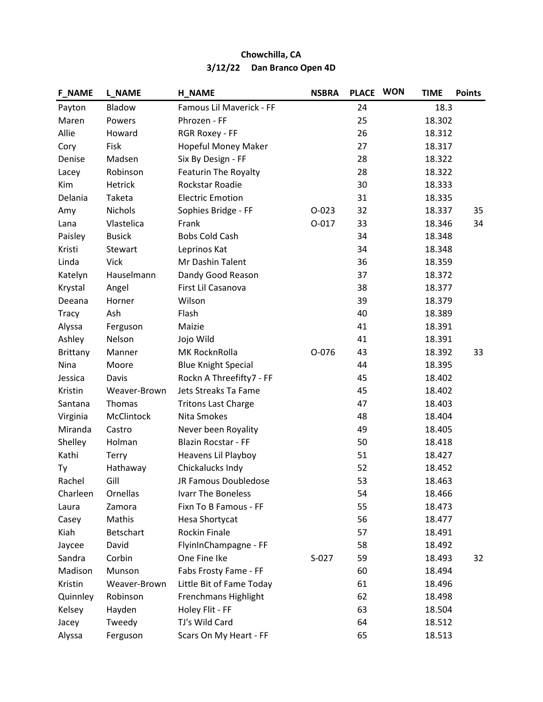| <b>F_NAME</b>   | L_NAME           | <b>H_NAME</b>              | <b>NSBRA</b> | <b>PLACE</b> | <b>WON</b> | <b>TIME</b> | <b>Points</b> |
|-----------------|------------------|----------------------------|--------------|--------------|------------|-------------|---------------|
| Payton          | Bladow           | Famous Lil Maverick - FF   |              | 24           |            | 18.3        |               |
| Maren           | Powers           | Phrozen - FF               |              | 25           |            | 18.302      |               |
| Allie           | Howard           | RGR Roxey - FF             |              | 26           |            | 18.312      |               |
| Cory            | Fisk             | Hopeful Money Maker        |              | 27           |            | 18.317      |               |
| Denise          | Madsen           | Six By Design - FF         |              | 28           |            | 18.322      |               |
| Lacey           | Robinson         | Featurin The Royalty       |              | 28           |            | 18.322      |               |
| Kim             | Hetrick          | Rockstar Roadie            |              | 30           |            | 18.333      |               |
| Delania         | Taketa           | <b>Electric Emotion</b>    |              | 31           |            | 18.335      |               |
| Amy             | Nichols          | Sophies Bridge - FF        | $O - 023$    | 32           |            | 18.337      | 35            |
| Lana            | Vlastelica       | Frank                      | $0 - 017$    | 33           |            | 18.346      | 34            |
| Paisley         | <b>Busick</b>    | <b>Bobs Cold Cash</b>      |              | 34           |            | 18.348      |               |
| Kristi          | Stewart          | Leprinos Kat               |              | 34           |            | 18.348      |               |
| Linda           | <b>Vick</b>      | Mr Dashin Talent           |              | 36           |            | 18.359      |               |
| Katelyn         | Hauselmann       | Dandy Good Reason          |              | 37           |            | 18.372      |               |
| Krystal         | Angel            | First Lil Casanova         |              | 38           |            | 18.377      |               |
| Deeana          | Horner           | Wilson                     |              | 39           |            | 18.379      |               |
| <b>Tracy</b>    | Ash              | Flash                      |              | 40           |            | 18.389      |               |
| Alyssa          | Ferguson         | Maizie                     |              | 41           |            | 18.391      |               |
| Ashley          | Nelson           | Jojo Wild                  |              | 41           |            | 18.391      |               |
| <b>Brittany</b> | Manner           | MK RocknRolla              | O-076        | 43           |            | 18.392      | 33            |
| Nina            | Moore            | <b>Blue Knight Special</b> |              | 44           |            | 18.395      |               |
| Jessica         | Davis            | Rockn A Threefifty7 - FF   |              | 45           |            | 18.402      |               |
| Kristin         | Weaver-Brown     | Jets Streaks Ta Fame       |              | 45           |            | 18.402      |               |
| Santana         | Thomas           | <b>Tritons Last Charge</b> |              | 47           |            | 18.403      |               |
| Virginia        | McClintock       | Nita Smokes                |              | 48           |            | 18.404      |               |
| Miranda         | Castro           | Never been Royality        |              | 49           |            | 18.405      |               |
| Shelley         | Holman           | <b>Blazin Rocstar - FF</b> |              | 50           |            | 18.418      |               |
| Kathi           | <b>Terry</b>     | Heavens Lil Playboy        |              | 51           |            | 18.427      |               |
| Ty              | Hathaway         | Chickalucks Indy           |              | 52           |            | 18.452      |               |
| Rachel          | Gill             | JR Famous Doubledose       |              | 53           |            | 18.463      |               |
| Charleen        | Ornellas         | Ivarr The Boneless         |              | 54           |            | 18.466      |               |
| Laura           | Zamora           | Fixn To B Famous - FF      |              | 55           |            | 18.473      |               |
| Casey           | Mathis           | Hesa Shortycat             |              | 56           |            | 18.477      |               |
| Kiah            | <b>Betschart</b> | <b>Rockin Finale</b>       |              | 57           |            | 18.491      |               |
| Jaycee          | David            | FlyinInChampagne - FF      |              | 58           |            | 18.492      |               |
| Sandra          | Corbin           | One Fine Ike               | $S-027$      | 59           |            | 18.493      | 32            |
| Madison         | Munson           | Fabs Frosty Fame - FF      |              | 60           |            | 18.494      |               |
| Kristin         | Weaver-Brown     | Little Bit of Fame Today   |              | 61           |            | 18.496      |               |
| Quinnley        | Robinson         | Frenchmans Highlight       |              | 62           |            | 18.498      |               |
| Kelsey          | Hayden           | Holey Flit - FF            |              | 63           |            | 18.504      |               |
| Jacey           | Tweedy           | TJ's Wild Card             |              | 64           |            | 18.512      |               |
| Alyssa          | Ferguson         | Scars On My Heart - FF     |              | 65           |            | 18.513      |               |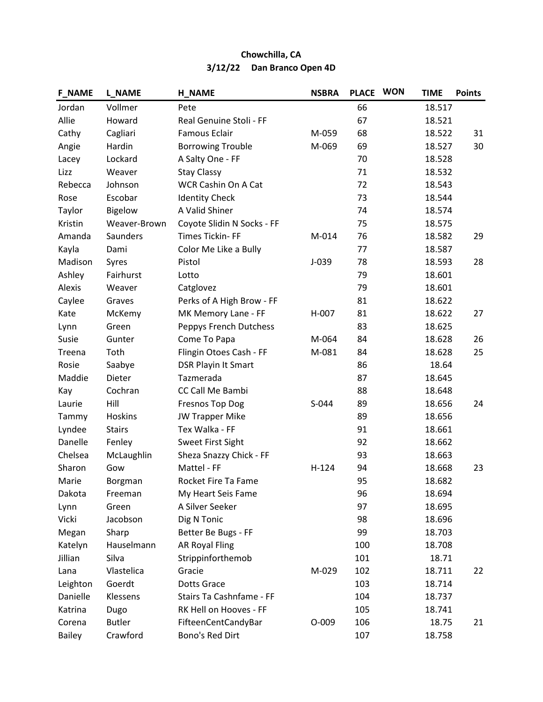| <b>F_NAME</b> | <b>L_NAME</b> | <b>H_NAME</b>              | <b>NSBRA</b> | <b>PLACE</b> | <b>WON</b> | <b>TIME</b> | <b>Points</b> |
|---------------|---------------|----------------------------|--------------|--------------|------------|-------------|---------------|
| Jordan        | Vollmer       | Pete                       |              | 66           |            | 18.517      |               |
| Allie         | Howard        | Real Genuine Stoli - FF    |              | 67           |            | 18.521      |               |
| Cathy         | Cagliari      | <b>Famous Eclair</b>       | M-059        | 68           |            | 18.522      | 31            |
| Angie         | Hardin        | <b>Borrowing Trouble</b>   | M-069        | 69           |            | 18.527      | 30            |
| Lacey         | Lockard       | A Salty One - FF           |              | 70           |            | 18.528      |               |
| Lizz          | Weaver        | <b>Stay Classy</b>         |              | 71           |            | 18.532      |               |
| Rebecca       | Johnson       | <b>WCR Cashin On A Cat</b> |              | 72           |            | 18.543      |               |
| Rose          | Escobar       | <b>Identity Check</b>      |              | 73           |            | 18.544      |               |
| Taylor        | Bigelow       | A Valid Shiner             |              | 74           |            | 18.574      |               |
| Kristin       | Weaver-Brown  | Coyote Slidin N Socks - FF |              | 75           |            | 18.575      |               |
| Amanda        | Saunders      | Times Tickin-FF            | M-014        | 76           |            | 18.582      | 29            |
| Kayla         | Dami          | Color Me Like a Bully      |              | 77           |            | 18.587      |               |
| Madison       | Syres         | Pistol                     | $J-039$      | 78           |            | 18.593      | 28            |
| Ashley        | Fairhurst     | Lotto                      |              | 79           |            | 18.601      |               |
| Alexis        | Weaver        | Catglovez                  |              | 79           |            | 18.601      |               |
| Caylee        | Graves        | Perks of A High Brow - FF  |              | 81           |            | 18.622      |               |
| Kate          | McKemy        | MK Memory Lane - FF        | H-007        | 81           |            | 18.622      | 27            |
| Lynn          | Green         | Peppys French Dutchess     |              | 83           |            | 18.625      |               |
| Susie         | Gunter        | Come To Papa               | M-064        | 84           |            | 18.628      | 26            |
| Treena        | Toth          | Flingin Otoes Cash - FF    | M-081        | 84           |            | 18.628      | 25            |
| Rosie         | Saabye        | <b>DSR Playin It Smart</b> |              | 86           |            | 18.64       |               |
| Maddie        | Dieter        | Tazmerada                  |              | 87           |            | 18.645      |               |
| Kay           | Cochran       | CC Call Me Bambi           |              | 88           |            | 18.648      |               |
| Laurie        | Hill          | <b>Fresnos Top Dog</b>     | S-044        | 89           |            | 18.656      | 24            |
| Tammy         | Hoskins       | <b>JW Trapper Mike</b>     |              | 89           |            | 18.656      |               |
| Lyndee        | <b>Stairs</b> | Tex Walka - FF             |              | 91           |            | 18.661      |               |
| Danelle       | Fenley        | Sweet First Sight          |              | 92           |            | 18.662      |               |
| Chelsea       | McLaughlin    | Sheza Snazzy Chick - FF    |              | 93           |            | 18.663      |               |
| Sharon        | Gow           | Mattel - FF                | $H-124$      | 94           |            | 18.668      | 23            |
| Marie         | Borgman       | Rocket Fire Ta Fame        |              | 95           |            | 18.682      |               |
| Dakota        | Freeman       | My Heart Seis Fame         |              | 96           |            | 18.694      |               |
| Lynn          | Green         | A Silver Seeker            |              | 97           |            | 18.695      |               |
| Vicki         | Jacobson      | Dig N Tonic                |              | 98           |            | 18.696      |               |
| Megan         | Sharp         | Better Be Bugs - FF        |              | 99           |            | 18.703      |               |
| Katelyn       | Hauselmann    | <b>AR Royal Fling</b>      |              | 100          |            | 18.708      |               |
| Jillian       | Silva         | Strippinforthemob          |              | 101          |            | 18.71       |               |
| Lana          | Vlastelica    | Gracie                     | M-029        | 102          |            | 18.711      | 22            |
| Leighton      | Goerdt        | <b>Dotts Grace</b>         |              | 103          |            | 18.714      |               |
| Danielle      | Klessens      | Stairs Ta Cashnfame - FF   |              | 104          |            | 18.737      |               |
| Katrina       | Dugo          | RK Hell on Hooves - FF     |              | 105          |            | 18.741      |               |
| Corena        | <b>Butler</b> | FifteenCentCandyBar        | $O-009$      | 106          |            | 18.75       | 21            |
| Bailey        | Crawford      | Bono's Red Dirt            |              | 107          |            | 18.758      |               |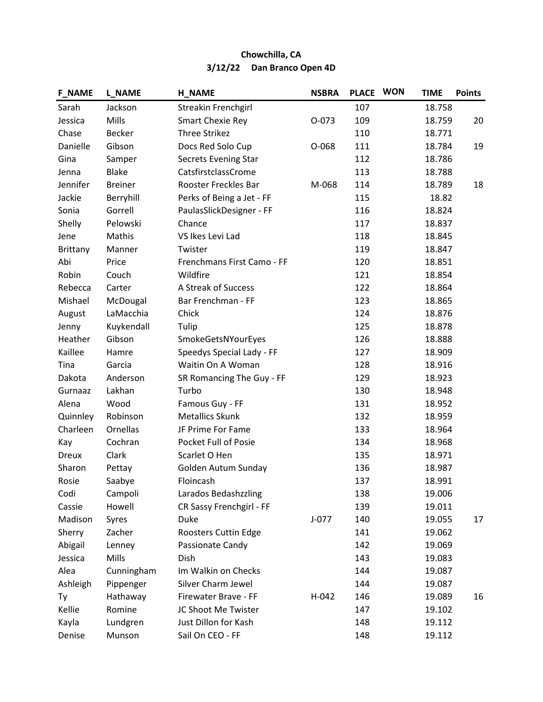| <b>F_NAME</b> | <b>L_NAME</b>  | <b>H_NAME</b>              | <b>NSBRA</b> | <b>PLACE</b> | <b>WON</b> | <b>TIME</b> | <b>Points</b> |
|---------------|----------------|----------------------------|--------------|--------------|------------|-------------|---------------|
| Sarah         | Jackson        | Streakin Frenchgirl        |              | 107          |            | 18.758      |               |
| Jessica       | Mills          | Smart Chexie Rey           | $O-073$      | 109          |            | 18.759      | 20            |
| Chase         | <b>Becker</b>  | Three Strikez              |              | 110          |            | 18.771      |               |
| Danielle      | Gibson         | Docs Red Solo Cup          | O-068        | 111          |            | 18.784      | 19            |
| Gina          | Samper         | Secrets Evening Star       |              | 112          |            | 18.786      |               |
| Jenna         | <b>Blake</b>   | CatsfirstclassCrome        |              | 113          |            | 18.788      |               |
| Jennifer      | <b>Breiner</b> | Rooster Freckles Bar       | M-068        | 114          |            | 18.789      | 18            |
| Jackie        | Berryhill      | Perks of Being a Jet - FF  |              | 115          |            | 18.82       |               |
| Sonia         | Gorrell        | PaulasSlickDesigner - FF   |              | 116          |            | 18.824      |               |
| Shelly        | Pelowski       | Chance                     |              | 117          |            | 18.837      |               |
| Jene          | Mathis         | VS Ikes Levi Lad           |              | 118          |            | 18.845      |               |
| Brittany      | Manner         | Twister                    |              | 119          |            | 18.847      |               |
| Abi           | Price          | Frenchmans First Camo - FF |              | 120          |            | 18.851      |               |
| Robin         | Couch          | Wildfire                   |              | 121          |            | 18.854      |               |
| Rebecca       | Carter         | A Streak of Success        |              | 122          |            | 18.864      |               |
| Mishael       | McDougal       | Bar Frenchman - FF         |              | 123          |            | 18.865      |               |
| August        | LaMacchia      | Chick                      |              | 124          |            | 18.876      |               |
| Jenny         | Kuykendall     | Tulip                      |              | 125          |            | 18.878      |               |
| Heather       | Gibson         | SmokeGetsNYourEyes         |              | 126          |            | 18.888      |               |
| Kaillee       | Hamre          | Speedys Special Lady - FF  |              | 127          |            | 18.909      |               |
| Tina          | Garcia         | Waitin On A Woman          |              | 128          |            | 18.916      |               |
| Dakota        | Anderson       | SR Romancing The Guy - FF  |              | 129          |            | 18.923      |               |
| Gurnaaz       | Lakhan         | Turbo                      |              | 130          |            | 18.948      |               |
| Alena         | Wood           | Famous Guy - FF            |              | 131          |            | 18.952      |               |
| Quinnley      | Robinson       | <b>Metallics Skunk</b>     |              | 132          |            | 18.959      |               |
| Charleen      | Ornellas       | JF Prime For Fame          |              | 133          |            | 18.964      |               |
| Kay           | Cochran        | Pocket Full of Posie       |              | 134          |            | 18.968      |               |
| <b>Dreux</b>  | Clark          | Scarlet O Hen              |              | 135          |            | 18.971      |               |
| Sharon        | Pettay         | Golden Autum Sunday        |              | 136          |            | 18.987      |               |
| Rosie         | Saabye         | Floincash                  |              | 137          |            | 18.991      |               |
| Codi          | Campoli        | Larados Bedashzzling       |              | 138          |            | 19.006      |               |
| Cassie        | Howell         | CR Sassy Frenchgirl - FF   |              | 139          |            | 19.011      |               |
| Madison       | Syres          | Duke                       | $J-077$      | 140          |            | 19.055      | 17            |
| Sherry        | Zacher         | Roosters Cuttin Edge       |              | 141          |            | 19.062      |               |
| Abigail       | Lenney         | Passionate Candy           |              | 142          |            | 19.069      |               |
| Jessica       | Mills          | Dish                       |              | 143          |            | 19.083      |               |
| Alea          | Cunningham     | Im Walkin on Checks        |              | 144          |            | 19.087      |               |
| Ashleigh      | Pippenger      | Silver Charm Jewel         |              | 144          |            | 19.087      |               |
| <b>Ty</b>     | Hathaway       | Firewater Brave - FF       | H-042        | 146          |            | 19.089      | 16            |
| Kellie        | Romine         | JC Shoot Me Twister        |              | 147          |            | 19.102      |               |
| Kayla         | Lundgren       | Just Dillon for Kash       |              | 148          |            | 19.112      |               |
| Denise        | Munson         | Sail On CEO - FF           |              | 148          |            | 19.112      |               |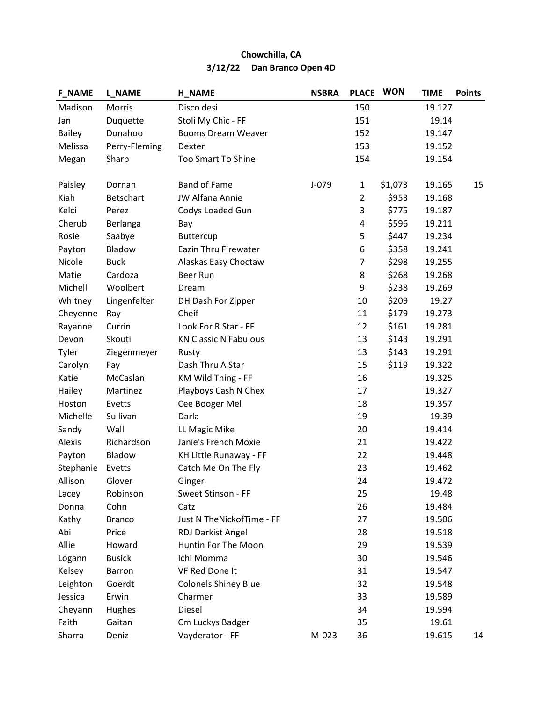| <b>F_NAME</b> | <b>L_NAME</b> | <b>H_NAME</b>                | <b>NSBRA</b> | <b>PLACE</b>   | <b>WON</b> | <b>TIME</b> | <b>Points</b> |
|---------------|---------------|------------------------------|--------------|----------------|------------|-------------|---------------|
| Madison       | Morris        | Disco desi                   |              | 150            |            | 19.127      |               |
| Jan           | Duquette      | Stoli My Chic - FF           |              | 151            |            | 19.14       |               |
| <b>Bailey</b> | Donahoo       | Booms Dream Weaver           |              | 152            |            | 19.147      |               |
| Melissa       | Perry-Fleming | Dexter                       |              | 153            |            | 19.152      |               |
| Megan         | Sharp         | <b>Too Smart To Shine</b>    |              | 154            |            | 19.154      |               |
|               |               |                              |              |                |            |             |               |
| Paisley       | Dornan        | <b>Band of Fame</b>          | J-079        | $\mathbf{1}$   | \$1,073    | 19.165      | 15            |
| Kiah          | Betschart     | <b>JW Alfana Annie</b>       |              | $\overline{2}$ | \$953      | 19.168      |               |
| Kelci         | Perez         | Codys Loaded Gun             |              | 3              | \$775      | 19.187      |               |
| Cherub        | Berlanga      | Bay                          |              | 4              | \$596      | 19.211      |               |
| Rosie         | Saabye        | <b>Buttercup</b>             |              | 5              | \$447      | 19.234      |               |
| Payton        | Bladow        | Eazin Thru Firewater         |              | 6              | \$358      | 19.241      |               |
| Nicole        | <b>Buck</b>   | Alaskas Easy Choctaw         |              | $\overline{7}$ | \$298      | 19.255      |               |
| Matie         | Cardoza       | Beer Run                     |              | 8              | \$268      | 19.268      |               |
| Michell       | Woolbert      | Dream                        |              | 9              | \$238      | 19.269      |               |
| Whitney       | Lingenfelter  | DH Dash For Zipper           |              | 10             | \$209      | 19.27       |               |
| Cheyenne      | Ray           | Cheif                        |              | 11             | \$179      | 19.273      |               |
| Rayanne       | Currin        | Look For R Star - FF         |              | 12             | \$161      | 19.281      |               |
| Devon         | Skouti        | <b>KN Classic N Fabulous</b> |              | 13             | \$143      | 19.291      |               |
| Tyler         | Ziegenmeyer   | Rusty                        |              | 13             | \$143      | 19.291      |               |
| Carolyn       | Fay           | Dash Thru A Star             |              | 15             | \$119      | 19.322      |               |
| Katie         | McCaslan      | KM Wild Thing - FF           |              | 16             |            | 19.325      |               |
| Hailey        | Martinez      | Playboys Cash N Chex         |              | 17             |            | 19.327      |               |
| Hoston        | Evetts        | Cee Booger Mel               |              | 18             |            | 19.357      |               |
| Michelle      | Sullivan      | Darla                        |              | 19             |            | 19.39       |               |
| Sandy         | Wall          | LL Magic Mike                |              | 20             |            | 19.414      |               |
| Alexis        | Richardson    | Janie's French Moxie         |              | 21             |            | 19.422      |               |
| Payton        | Bladow        | KH Little Runaway - FF       |              | 22             |            | 19.448      |               |
| Stephanie     | Evetts        | Catch Me On The Fly          |              | 23             |            | 19.462      |               |
| Allison       | Glover        | Ginger                       |              | 24             |            | 19.472      |               |
| Lacey         | Robinson      | Sweet Stinson - FF           |              | 25             |            | 19.48       |               |
| Donna         | Cohn          | Catz                         |              | 26             |            | 19.484      |               |
| Kathy         | <b>Branco</b> | Just N TheNickofTime - FF    |              | 27             |            | 19.506      |               |
| Abi           | Price         | RDJ Darkist Angel            |              | 28             |            | 19.518      |               |
| Allie         | Howard        | Huntin For The Moon          |              | 29             |            | 19.539      |               |
| Logann        | <b>Busick</b> | Ichi Momma                   |              | 30             |            | 19.546      |               |
| Kelsey        | Barron        | VF Red Done It               |              | 31             |            | 19.547      |               |
| Leighton      | Goerdt        | <b>Colonels Shiney Blue</b>  |              | 32             |            | 19.548      |               |
| Jessica       | Erwin         | Charmer                      |              | 33             |            | 19.589      |               |
| Cheyann       | Hughes        | Diesel                       |              | 34             |            | 19.594      |               |
| Faith         | Gaitan        | Cm Luckys Badger             |              | 35             |            | 19.61       |               |
| Sharra        | Deniz         | Vayderator - FF              | M-023        | 36             |            | 19.615      | 14            |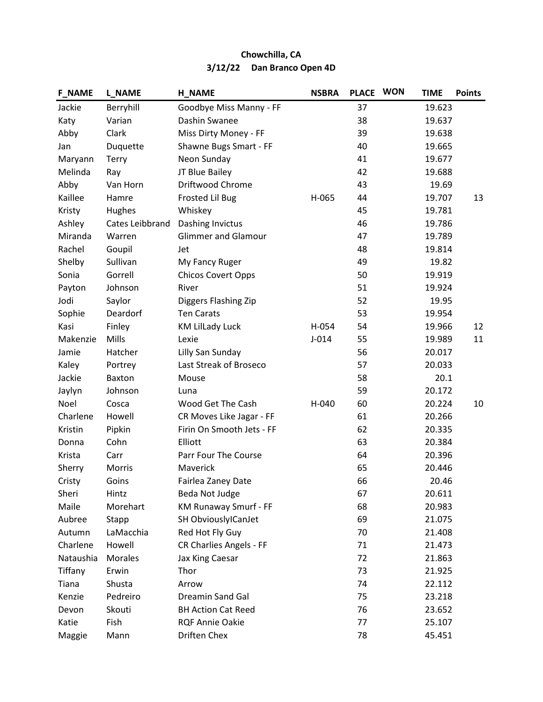| <b>F_NAME</b> | <b>L_NAME</b>   | <b>H_NAME</b>              | <b>NSBRA</b> | <b>PLACE</b> | <b>WON</b> | <b>TIME</b> | <b>Points</b> |
|---------------|-----------------|----------------------------|--------------|--------------|------------|-------------|---------------|
| Jackie        | Berryhill       | Goodbye Miss Manny - FF    |              | 37           |            | 19.623      |               |
| Katy          | Varian          | Dashin Swanee              |              | 38           |            | 19.637      |               |
| Abby          | Clark           | Miss Dirty Money - FF      |              | 39           |            | 19.638      |               |
| Jan           | Duquette        | Shawne Bugs Smart - FF     |              | 40           |            | 19.665      |               |
| Maryann       | <b>Terry</b>    | Neon Sunday                |              | 41           |            | 19.677      |               |
| Melinda       | Ray             | JT Blue Bailey             |              | 42           |            | 19.688      |               |
| Abby          | Van Horn        | Driftwood Chrome           |              | 43           |            | 19.69       |               |
| Kaillee       | Hamre           | <b>Frosted Lil Bug</b>     | H-065        | 44           |            | 19.707      | 13            |
| Kristy        | Hughes          | Whiskey                    |              | 45           |            | 19.781      |               |
| Ashley        | Cates Leibbrand | Dashing Invictus           |              | 46           |            | 19.786      |               |
| Miranda       | Warren          | <b>Glimmer and Glamour</b> |              | 47           |            | 19.789      |               |
| Rachel        | Goupil          | Jet                        |              | 48           |            | 19.814      |               |
| Shelby        | Sullivan        | My Fancy Ruger             |              | 49           |            | 19.82       |               |
| Sonia         | Gorrell         | <b>Chicos Covert Opps</b>  |              | 50           |            | 19.919      |               |
| Payton        | Johnson         | River                      |              | 51           |            | 19.924      |               |
| Jodi          | Saylor          | Diggers Flashing Zip       |              | 52           |            | 19.95       |               |
| Sophie        | Deardorf        | <b>Ten Carats</b>          |              | 53           |            | 19.954      |               |
| Kasi          | Finley          | <b>KM Lillady Luck</b>     | H-054        | 54           |            | 19.966      | 12            |
| Makenzie      | Mills           | Lexie                      | $J-014$      | 55           |            | 19.989      | 11            |
| Jamie         | Hatcher         | Lilly San Sunday           |              | 56           |            | 20.017      |               |
| Kaley         | Portrey         | Last Streak of Broseco     |              | 57           |            | 20.033      |               |
| Jackie        | Baxton          | Mouse                      |              | 58           |            | 20.1        |               |
| Jaylyn        | Johnson         | Luna                       |              | 59           |            | 20.172      |               |
| Noel          | Cosca           | Wood Get The Cash          | H-040        | 60           |            | 20.224      | 10            |
| Charlene      | Howell          | CR Moves Like Jagar - FF   |              | 61           |            | 20.266      |               |
| Kristin       | Pipkin          | Firin On Smooth Jets - FF  |              | 62           |            | 20.335      |               |
| Donna         | Cohn            | Elliott                    |              | 63           |            | 20.384      |               |
| Krista        | Carr            | Parr Four The Course       |              | 64           |            | 20.396      |               |
| Sherry        | <b>Morris</b>   | Maverick                   |              | 65           |            | 20.446      |               |
| Cristy        | Goins           | Fairlea Zaney Date         |              | 66           |            | 20.46       |               |
| Sheri         | Hintz           | Beda Not Judge             |              | 67           |            | 20.611      |               |
| Maile         | Morehart        | KM Runaway Smurf - FF      |              | 68           |            | 20.983      |               |
| Aubree        | Stapp           | SH ObviouslylCanJet        |              | 69           |            | 21.075      |               |
| Autumn        | LaMacchia       | Red Hot Fly Guy            |              | 70           |            | 21.408      |               |
| Charlene      | Howell          | CR Charlies Angels - FF    |              | 71           |            | 21.473      |               |
| Nataushia     | Morales         | Jax King Caesar            |              | 72           |            | 21.863      |               |
| Tiffany       | Erwin           | Thor                       |              | 73           |            | 21.925      |               |
| Tiana         | Shusta          | Arrow                      |              | 74           |            | 22.112      |               |
| Kenzie        | Pedreiro        | Dreamin Sand Gal           |              | 75           |            | 23.218      |               |
| Devon         | Skouti          | <b>BH Action Cat Reed</b>  |              | 76           |            | 23.652      |               |
| Katie         | Fish            | RQF Annie Oakie            |              | 77           |            | 25.107      |               |
| Maggie        | Mann            | Driften Chex               |              | 78           |            | 45.451      |               |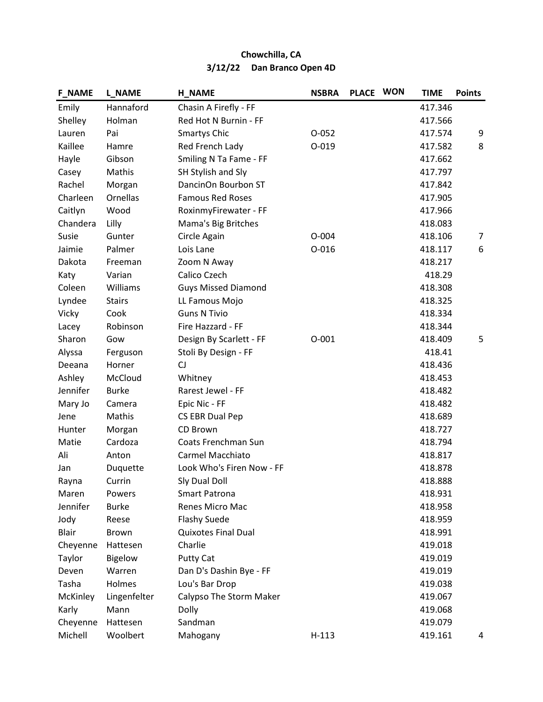| <b>F_NAME</b> | <b>L_NAME</b> | <b>H NAME</b>              | <b>NSBRA</b> | PLACE WON | <b>TIME</b> | <b>Points</b> |
|---------------|---------------|----------------------------|--------------|-----------|-------------|---------------|
| Emily         | Hannaford     | Chasin A Firefly - FF      |              |           | 417.346     |               |
| Shelley       | Holman        | Red Hot N Burnin - FF      |              |           | 417.566     |               |
| Lauren        | Pai           | <b>Smartys Chic</b>        | $O-052$      |           | 417.574     | 9             |
| Kaillee       | Hamre         | Red French Lady            | $O-019$      |           | 417.582     | 8             |
| Hayle         | Gibson        | Smiling N Ta Fame - FF     |              |           | 417.662     |               |
| Casey         | Mathis        | SH Stylish and Sly         |              |           | 417.797     |               |
| Rachel        | Morgan        | DancinOn Bourbon ST        |              |           | 417.842     |               |
| Charleen      | Ornellas      | <b>Famous Red Roses</b>    |              |           | 417.905     |               |
| Caitlyn       | Wood          | RoxinmyFirewater - FF      |              |           | 417.966     |               |
| Chandera      | Lilly         | Mama's Big Britches        |              |           | 418.083     |               |
| Susie         | Gunter        | Circle Again               | $O - 004$    |           | 418.106     | 7             |
| Jaimie        | Palmer        | Lois Lane                  | $O - 016$    |           | 418.117     | 6             |
| Dakota        | Freeman       | Zoom N Away                |              |           | 418.217     |               |
| Katy          | Varian        | Calico Czech               |              |           | 418.29      |               |
| Coleen        | Williams      | <b>Guys Missed Diamond</b> |              |           | 418.308     |               |
| Lyndee        | <b>Stairs</b> | LL Famous Mojo             |              |           | 418.325     |               |
| Vicky         | Cook          | <b>Guns N Tivio</b>        |              |           | 418.334     |               |
| Lacey         | Robinson      | Fire Hazzard - FF          |              |           | 418.344     |               |
| Sharon        | Gow           | Design By Scarlett - FF    | $O - 001$    |           | 418.409     | 5             |
| Alyssa        | Ferguson      | Stoli By Design - FF       |              |           | 418.41      |               |
| Deeana        | Horner        | CJ                         |              |           | 418.436     |               |
| Ashley        | McCloud       | Whitney                    |              |           | 418.453     |               |
| Jennifer      | <b>Burke</b>  | Rarest Jewel - FF          |              |           | 418.482     |               |
| Mary Jo       | Camera        | Epic Nic - FF              |              |           | 418.482     |               |
| Jene          | Mathis        | CS EBR Dual Pep            |              |           | 418.689     |               |
| Hunter        | Morgan        | CD Brown                   |              |           | 418.727     |               |
| Matie         | Cardoza       | Coats Frenchman Sun        |              |           | 418.794     |               |
| Ali           | Anton         | Carmel Macchiato           |              |           | 418.817     |               |
| Jan           | Duquette      | Look Who's Firen Now - FF  |              |           | 418.878     |               |
| Rayna         | Currin        | Sly Dual Doll              |              |           | 418.888     |               |
| Maren         | Powers        | <b>Smart Patrona</b>       |              |           | 418.931     |               |
| Jennifer      | <b>Burke</b>  | Renes Micro Mac            |              |           | 418.958     |               |
| Jody          | Reese         | <b>Flashy Suede</b>        |              |           | 418.959     |               |
| <b>Blair</b>  | Brown         | <b>Quixotes Final Dual</b> |              |           | 418.991     |               |
| Cheyenne      | Hattesen      | Charlie                    |              |           | 419.018     |               |
| Taylor        | Bigelow       | <b>Putty Cat</b>           |              |           | 419.019     |               |
| Deven         | Warren        | Dan D's Dashin Bye - FF    |              |           | 419.019     |               |
| Tasha         | Holmes        | Lou's Bar Drop             |              |           | 419.038     |               |
| McKinley      | Lingenfelter  | Calypso The Storm Maker    |              |           | 419.067     |               |
| Karly         | Mann          | Dolly                      |              |           | 419.068     |               |
| Cheyenne      | Hattesen      | Sandman                    |              |           | 419.079     |               |
| Michell       | Woolbert      | Mahogany                   | $H-113$      |           | 419.161     | 4             |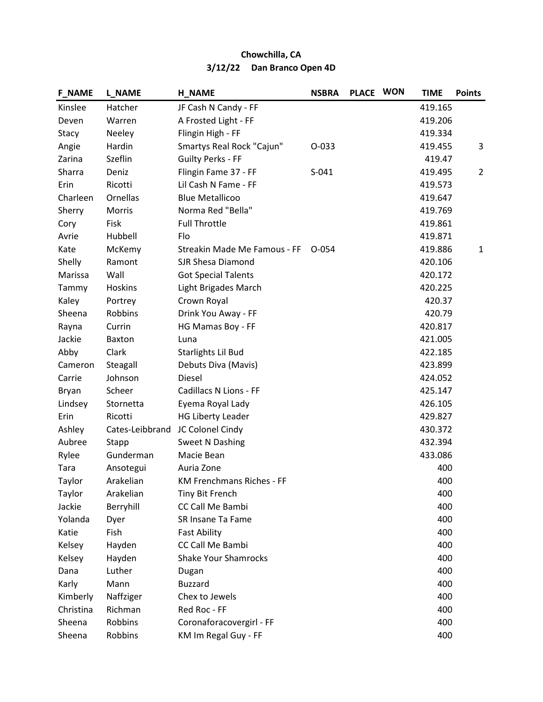| <b>F_NAME</b> | <b>L_NAME</b>   | <b>H_NAME</b>                | <b>NSBRA</b> | PLACE WON | <b>TIME</b> | <b>Points</b>  |
|---------------|-----------------|------------------------------|--------------|-----------|-------------|----------------|
| Kinslee       | Hatcher         | JF Cash N Candy - FF         |              |           | 419.165     |                |
| Deven         | Warren          | A Frosted Light - FF         |              |           | 419.206     |                |
| Stacy         | Neeley          | Flingin High - FF            |              |           | 419.334     |                |
| Angie         | Hardin          | Smartys Real Rock "Cajun"    | 0-033        |           | 419.455     | 3              |
| Zarina        | Szeflin         | <b>Guilty Perks - FF</b>     |              |           | 419.47      |                |
| Sharra        | Deniz           | Flingin Fame 37 - FF         | $S-041$      |           | 419.495     | $\overline{2}$ |
| Erin          | Ricotti         | Lil Cash N Fame - FF         |              |           | 419.573     |                |
| Charleen      | Ornellas        | <b>Blue Metallicoo</b>       |              |           | 419.647     |                |
| Sherry        | Morris          | Norma Red "Bella"            |              |           | 419.769     |                |
| Cory          | Fisk            | <b>Full Throttle</b>         |              |           | 419.861     |                |
| Avrie         | Hubbell         | Flo                          |              |           | 419.871     |                |
| Kate          | McKemy          | Streakin Made Me Famous - FF | $O - 054$    |           | 419.886     | $\mathbf{1}$   |
| Shelly        | Ramont          | SJR Shesa Diamond            |              |           | 420.106     |                |
| Marissa       | Wall            | <b>Got Special Talents</b>   |              |           | 420.172     |                |
| Tammy         | Hoskins         | Light Brigades March         |              |           | 420.225     |                |
| Kaley         | Portrey         | Crown Royal                  |              |           | 420.37      |                |
| Sheena        | Robbins         | Drink You Away - FF          |              |           | 420.79      |                |
| Rayna         | Currin          | HG Mamas Boy - FF            |              |           | 420.817     |                |
| Jackie        | Baxton          | Luna                         |              |           | 421.005     |                |
| Abby          | Clark           | Starlights Lil Bud           |              |           | 422.185     |                |
| Cameron       | Steagall        | Debuts Diva (Mavis)          |              |           | 423.899     |                |
| Carrie        | Johnson         | Diesel                       |              |           | 424.052     |                |
| Bryan         | Scheer          | Cadillacs N Lions - FF       |              |           | 425.147     |                |
| Lindsey       | Stornetta       | Eyema Royal Lady             |              |           | 426.105     |                |
| Erin          | Ricotti         | <b>HG Liberty Leader</b>     |              |           | 429.827     |                |
| Ashley        | Cates-Leibbrand | JC Colonel Cindy             |              |           | 430.372     |                |
| Aubree        | Stapp           | Sweet N Dashing              |              |           | 432.394     |                |
| Rylee         | Gunderman       | Macie Bean                   |              |           | 433.086     |                |
| Tara          | Ansotegui       | Auria Zone                   |              |           | 400         |                |
| Taylor        | Arakelian       | KM Frenchmans Riches - FF    |              |           | 400         |                |
| Taylor        | Arakelian       | Tiny Bit French              |              |           | 400         |                |
| Jackie        | Berryhill       | CC Call Me Bambi             |              |           | 400         |                |
| Yolanda       | Dyer            | SR Insane Ta Fame            |              |           | 400         |                |
| Katie         | Fish            | <b>Fast Ability</b>          |              |           | 400         |                |
| Kelsey        | Hayden          | CC Call Me Bambi             |              |           | 400         |                |
| Kelsey        | Hayden          | <b>Shake Your Shamrocks</b>  |              |           | 400         |                |
| Dana          | Luther          | Dugan                        |              |           | 400         |                |
| Karly         | Mann            | <b>Buzzard</b>               |              |           | 400         |                |
| Kimberly      | Naffziger       | Chex to Jewels               |              |           | 400         |                |
| Christina     | Richman         | Red Roc - FF                 |              |           | 400         |                |
| Sheena        | Robbins         | Coronaforacovergirl - FF     |              |           | 400         |                |
| Sheena        | Robbins         | KM Im Regal Guy - FF         |              |           | 400         |                |